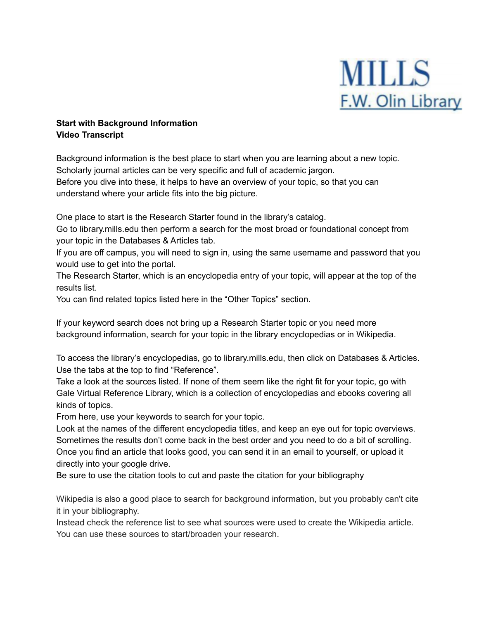

## **Start with Background Information Video Transcript**

Background information is the best place to start when you are learning about a new topic. Scholarly journal articles can be very specific and full of academic jargon. Before you dive into these, it helps to have an overview of your topic, so that you can understand where your article fits into the big picture.

One place to start is the Research Starter found in the library's catalog.

Go to library.mills.edu then perform a search for the most broad or foundational concept from your topic in the Databases & Articles tab.

If you are off campus, you will need to sign in, using the same username and password that you would use to get into the portal.

The Research Starter, which is an encyclopedia entry of your topic, will appear at the top of the results list.

You can find related topics listed here in the "Other Topics" section.

If your keyword search does not bring up a Research Starter topic or you need more background information, search for your topic in the library encyclopedias or in Wikipedia.

To access the library's encyclopedias, go to library.mills.edu, then click on Databases & Articles. Use the tabs at the top to find "Reference".

Take a look at the sources listed. If none of them seem like the right fit for your topic, go with Gale Virtual Reference Library, which is a collection of encyclopedias and ebooks covering all kinds of topics.

From here, use your keywords to search for your topic.

Look at the names of the different encyclopedia titles, and keep an eye out for topic overviews. Sometimes the results don't come back in the best order and you need to do a bit of scrolling. Once you find an article that looks good, you can send it in an email to yourself, or upload it directly into your google drive.

Be sure to use the citation tools to cut and paste the citation for your bibliography

Wikipedia is also a good place to search for background information, but you probably can't cite it in your bibliography.

Instead check the reference list to see what sources were used to create the Wikipedia article. You can use these sources to start/broaden your research.